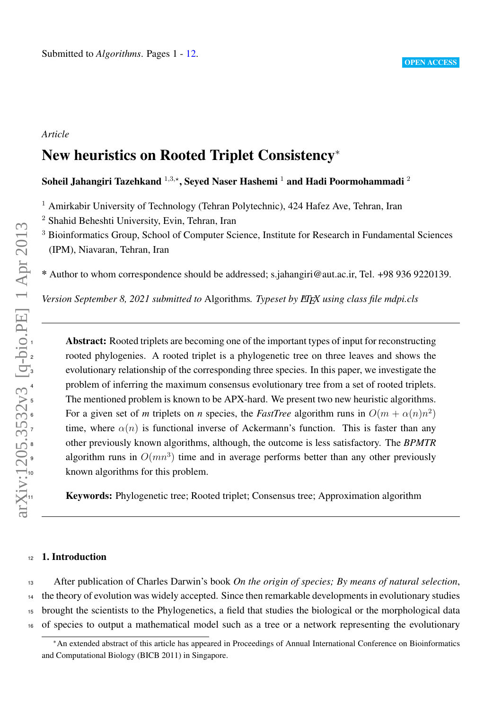# *Article* New heuristics on Rooted Triplet Consistency<sup>∗</sup>

Soheil Jahangiri Tazehkand  $1,3,4$ , Seved Naser Hashemi  $1$  and Hadi Poormohammadi  $2$ 

<sup>1</sup> Amirkabir University of Technology (Tehran Polytechnic), 424 Hafez Ave, Tehran, Iran

<sup>2</sup> Shahid Beheshti University, Evin, Tehran, Iran

<sup>3</sup> Bioinformatics Group, School of Computer Science, Institute for Research in Fundamental Sciences (IPM), Niavaran, Tehran, Iran

\* Author to whom correspondence should be addressed; s.jahangiri@aut.ac.ir, Tel. +98 936 9220139.

*Version September 8, 2021 submitted to Algorithms. Typeset by ET<sub>F</sub>X using class file mdpi.cls* 

3 Biomformatics Group, Sevin, tentain, transit, triplets are Research in Fundamental Science (IPM), Niavaram, Tehran, Iran<br>
\* Author to whom correspondence should be addressed; s.jahangiri@aut.ac.ir, Tel. +98 936 92201<br>
\* <sup>2</sup> rooted phylogenies. A rooted triplet is a phylogenetic tree on three leaves and shows the evolutionary relationship of the corresponding three species. In this paper, we investigate the <sup>4</sup> problem of inferring the maximum consensus evolutionary tree from a set of rooted triplets. The mentioned problem is known to be APX-hard. We present two new heuristic algorithms. For a given set of *m* triplets on *n* species, the *FastTree* algorithm runs in  $O(m + \alpha(n)n^2)$ time, where  $\alpha(n)$  is functional inverse of Ackermann's function. This is faster than any <sup>8</sup> other previously known algorithms, although, the outcome is less satisfactory. The *BPMTR* algorithm runs in  $O(mn^3)$  time and in average performs better than any other previously known algorithms for this problem.

**Keywords:** Phylogenetic tree; Rooted triplet; Consensus tree; Approximation algorithm

#### <sup>12</sup> 1. Introduction

 After publication of Charles Darwin's book *On the origin of species; By means of natural selection*, the theory of evolution was widely accepted. Since then remarkable developments in evolutionary studies brought the scientists to the Phylogenetics, a field that studies the biological or the morphological data of species to output a mathematical model such as a tree or a network representing the evolutionary

<sup>∗</sup>An extended abstract of this article has appeared in Proceedings of Annual International Conference on Bioinformatics and Computational Biology (BICB 2011) in Singapore.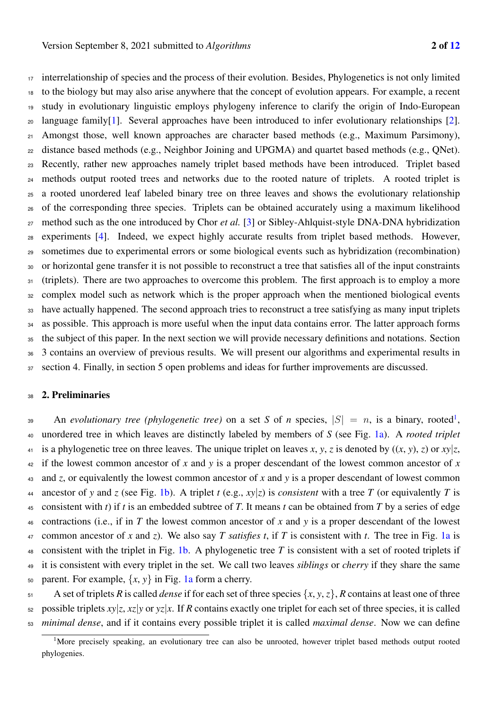interrelationship of species and the process of their evolution. Besides, Phylogenetics is not only limited to the biology but may also arise anywhere that the concept of evolution appears. For example, a recent study in evolutionary linguistic employs phylogeny inference to clarify the origin of Indo-European language family[\[1\]](#page-10-0). Several approaches have been introduced to infer evolutionary relationships [\[2\]](#page-10-1). Amongst those, well known approaches are character based methods (e.g., Maximum Parsimony), distance based methods (e.g., Neighbor Joining and UPGMA) and quartet based methods (e.g., QNet). Recently, rather new approaches namely triplet based methods have been introduced. Triplet based methods output rooted trees and networks due to the rooted nature of triplets. A rooted triplet is a rooted unordered leaf labeled binary tree on three leaves and shows the evolutionary relationship of the corresponding three species. Triplets can be obtained accurately using a maximum likelihood method such as the one introduced by Chor *et al.* [\[3\]](#page-10-2) or Sibley-Ahlquist-style DNA-DNA hybridization experiments [\[4\]](#page-10-3). Indeed, we expect highly accurate results from triplet based methods. However, sometimes due to experimental errors or some biological events such as hybridization (recombination) or horizontal gene transfer it is not possible to reconstruct a tree that satisfies all of the input constraints 31 (triplets). There are two approaches to overcome this problem. The first approach is to employ a more 32 complex model such as network which is the proper approach when the mentioned biological events have actually happened. The second approach tries to reconstruct a tree satisfying as many input triplets 34 as possible. This approach is more useful when the input data contains error. The latter approach forms the subject of this paper. In the next section we will provide necessary definitions and notations. Section 3 contains an overview of previous results. We will present our algorithms and experimental results in 37 section 4. Finally, in section 5 open problems and ideas for further improvements are discussed.

## 2. Preliminaries

39 An *evolutionary tree (phylogenetic tree)* on a set *S* of *n* species,  $|S| = n$ , is a binary, rooted<sup>[1](#page-1-0)</sup>, unordered tree in which leaves are distinctly labeled by members of *S* (see Fig. [1a\)](#page-2-0). A *rooted triplet* 41 is a phylogenetic tree on three leaves. The unique triplet on leaves *x*, *y*, *z* is denoted by  $((x, y), z)$  or  $xy|z$ , if the lowest common ancestor of *x* and *y* is a proper descendant of the lowest common ancestor of *x* and *z*, or equivalently the lowest common ancestor of *x* and *y* is a proper descendant of lowest common 44 ancestor of *y* and *z* (see Fig. [1b\)](#page-2-1). A triplet *t* (e.g., *xy*|*z*) is *consistent* with a tree *T* (or equivalently *T* is consistent with *t*) if *t* is an embedded subtree of *T*. It means *t* can be obtained from *T* by a series of edge contractions (i.e., if in *T* the lowest common ancestor of *x* and *y* is a proper descendant of the lowest common ancestor of *x* and *z*). We also say *T satisfies t*, if *T* is consistent with *t*. The tree in Fig. [1a](#page-2-0) is consistent with the triplet in Fig. [1b.](#page-2-1) A phylogenetic tree *T* is consistent with a set of rooted triplets if it is consistent with every triplet in the set. We call two leaves *siblings* or *cherry* if they share the same 50 parent. For example,  $\{x, y\}$  in Fig. [1a](#page-2-0) form a cherry.

51 A set of triplets *R* is called *dense* if for each set of three species  $\{x, y, z\}$ , *R* contains at least one of three 52 possible triplets  $xy|z, xz|y$  or  $yz|x$ . If *R* contains exactly one triplet for each set of three species, it is called *minimal dense*, and if it contains every possible triplet it is called *maximal dense*. Now we can define

<span id="page-1-0"></span><sup>&</sup>lt;sup>1</sup>More precisely speaking, an evolutionary tree can also be unrooted, however triplet based methods output rooted phylogenies.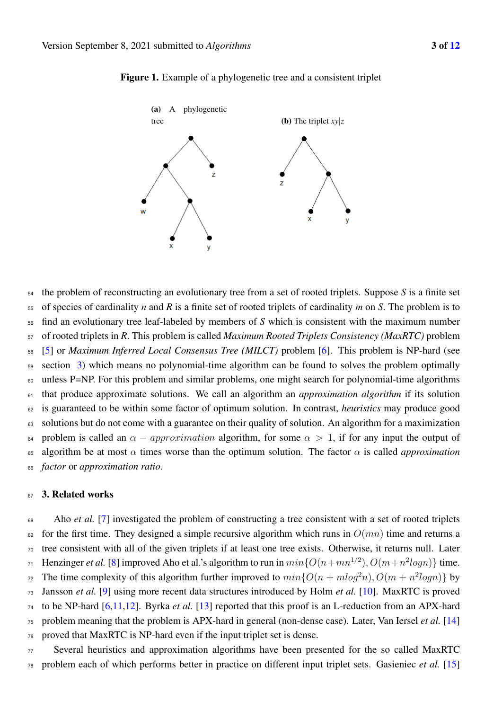<span id="page-2-1"></span>

<span id="page-2-0"></span>Figure 1. Example of a phylogenetic tree and a consistent triplet

 the problem of reconstructing an evolutionary tree from a set of rooted triplets. Suppose *S* is a finite set of species of cardinality *n* and *R* is a finite set of rooted triplets of cardinality *m* on *S*. The problem is to find an evolutionary tree leaf-labeled by members of *S* which is consistent with the maximum number of rooted triplets in *R*. This problem is called *Maximum Rooted Triplets Consistency (MaxRTC)* problem [\[5\]](#page-10-4) or *Maximum Inferred Local Consensus Tree (MILCT)* problem [\[6\]](#page-10-5). This problem is NP-hard (see section [3\)](#page-2-2) which means no polynomial-time algorithm can be found to solves the problem optimally unless P=NP. For this problem and similar problems, one might search for polynomial-time algorithms that produce approximate solutions. We call an algorithm an *approximation algorithm* if its solution is guaranteed to be within some factor of optimum solution. In contrast, *heuristics* may produce good solutions but do not come with a guarantee on their quality of solution. An algorithm for a maximization 64 problem is called an  $\alpha$  – approximation algorithm, for some  $\alpha > 1$ , if for any input the output of 65 algorithm be at most  $\alpha$  times worse than the optimum solution. The factor  $\alpha$  is called *approximation factor* or *approximation ratio*.

## <span id="page-2-2"></span>3. Related works

 Aho *et al.* [\[7\]](#page-10-6) investigated the problem of constructing a tree consistent with a set of rooted triplets 69 for the first time. They designed a simple recursive algorithm which runs in  $O(mn)$  time and returns a tree consistent with all of the given triplets if at least one tree exists. Otherwise, it returns null. Later  $\tau_1$  Henzinger *et al.* [\[8\]](#page-10-7) improved Aho et al.'s algorithm to run in  $min\{O(n+mn^{1/2}), O(m+n^2logn)\}$  time.  $\tau_1$  The time complexity of this algorithm further improved to  $min\{O(n + mlog^2 n), O(m + n^2 log n)\}\$  by Jansson *et al.* [\[9\]](#page-10-8) using more recent data structures introduced by Holm *et al.* [\[10\]](#page-10-9). MaxRTC is proved to be NP-hard [\[6,](#page-10-5)[11,](#page-10-10)[12\]](#page-10-11). Byrka *et al.* [\[13\]](#page-10-12) reported that this proof is an L-reduction from an APX-hard problem meaning that the problem is APX-hard in general (non-dense case). Later, Van Iersel *et al.* [\[14\]](#page-10-13) proved that MaxRTC is NP-hard even if the input triplet set is dense.

 Several heuristics and approximation algorithms have been presented for the so called MaxRTC problem each of which performs better in practice on different input triplet sets. Gasieniec *et al.* [\[15\]](#page-10-14)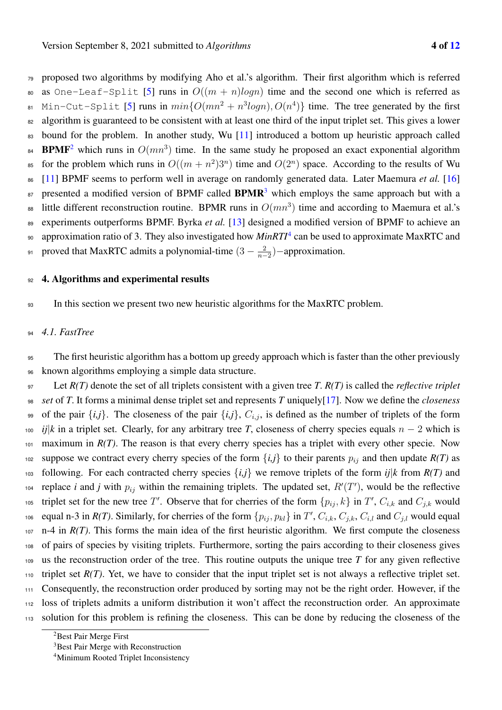<sup>79</sup> proposed two algorithms by modifying Aho et al.'s algorithm. Their first algorithm which is referred 80 as One-Leaf-Split [\[5\]](#page-10-4) runs in  $O((m + n) \nland n)$  time and the second one which is referred as 81 Min-Cut-Split [\[5\]](#page-10-4) runs in  $min\{O(mn^2 + n^3 logn), O(n^4)\}$  time. The tree generated by the first <sup>82</sup> algorithm is guaranteed to be consistent with at least one third of the input triplet set. This gives a lower 83 bound for the problem. In another study, Wu [\[11\]](#page-10-10) introduced a bottom up heuristic approach called <sup>84</sup> BPMF<sup>[2](#page-3-0)</sup> which runs in  $O(mn^3)$  time. In the same study he proposed an exact exponential algorithm <sup>85</sup> for the problem which runs in  $O((m + n^2)3^n)$  time and  $O(2^n)$  space. According to the results of Wu <sup>86</sup> [\[11\]](#page-10-10) BPMF seems to perform well in average on randomly generated data. Later Maemura *et al.* [\[16\]](#page-11-1) <sup>87</sup> presented a modified version of BPMF called BPMR<sup>[3](#page-3-1)</sup> which employs the same approach but with a <sup>88</sup> little different reconstruction routine. BPMR runs in  $O(mn^3)$  time and according to Maemura et al.'s <sup>89</sup> experiments outperforms BPMF. Byrka *et al.* [\[13\]](#page-10-12) designed a modified version of BPMF to achieve an <sup>90</sup> approximation ratio of 3. They also investigated how *MinRTI*<sup>[4](#page-3-2)</sup> can be used to approximate MaxRTC and proved that MaxRTC admits a polynomial-time  $(3 - \frac{2}{n})$ 91 proved that MaxRTC admits a polynomial-time  $(3 - \frac{2}{n-2})$  – approximation.

### 92 4. Algorithms and experimental results

<sup>93</sup> In this section we present two new heuristic algorithms for the MaxRTC problem.

## <sup>94</sup> *4.1. FastTree*

<sup>95</sup> The first heuristic algorithm has a bottom up greedy approach which is faster than the other previously <sup>96</sup> known algorithms employing a simple data structure.

<sup>97</sup> Let *R(T)* denote the set of all triplets consistent with a given tree *T*. *R(T)* is called the *reflective triplet* <sup>98</sup> *set* of *T*. It forms a minimal dense triplet set and represents *T* uniquely[\[17\]](#page-11-2). Now we define the *closeness* <sup>99</sup> of the pair  $\{i,j\}$ . The closeness of the pair  $\{i,j\}$ ,  $C_{i,j}$ , is defined as the number of triplets of the form  $100$  *ij*|k in a triplet set. Clearly, for any arbitrary tree *T*, closeness of cherry species equals  $n - 2$  which is  $101$  maximum in  $R(T)$ . The reason is that every cherry species has a triplet with every other specie. Now 102 suppose we contract every cherry species of the form  $\{i,j\}$  to their parents  $p_{ij}$  and then update  $R(T)$  as 103 following. For each contracted cherry species  $\{i,j\}$  we remove triplets of the form  $ij|k$  from  $R(T)$  and roa replace *i* and *j* with  $p_{ij}$  within the remaining triplets. The updated set,  $R'(T')$ , would be the reflective to triplet set for the new tree T'. Observe that for cherries of the form  $\{p_{ij}, k\}$  in T',  $C_{i,k}$  and  $C_{j,k}$  would <sup>106</sup> equal n-3 in *R(T)*. Similarly, for cherries of the form  $\{p_{ij}, p_{kl}\}$  in  $T', C_{i,k}, C_{j,k}, C_{i,l}$  and  $C_{j,l}$  would equal <sup>107</sup> n-4 in *R(T)*. This forms the main idea of the first heuristic algorithm. We first compute the closeness <sup>108</sup> of pairs of species by visiting triplets. Furthermore, sorting the pairs according to their closeness gives <sup>109</sup> us the reconstruction order of the tree. This routine outputs the unique tree *T* for any given reflective 110 triplet set  $R(T)$ . Yet, we have to consider that the input triplet set is not always a reflective triplet set. <sup>111</sup> Consequently, the reconstruction order produced by sorting may not be the right order. However, if the <sup>112</sup> loss of triplets admits a uniform distribution it won't affect the reconstruction order. An approximate <sup>113</sup> solution for this problem is refining the closeness. This can be done by reducing the closeness of the

<span id="page-3-0"></span><sup>&</sup>lt;sup>2</sup>Best Pair Merge First

<span id="page-3-1"></span><sup>3</sup>Best Pair Merge with Reconstruction

<span id="page-3-2"></span><sup>4</sup>Minimum Rooted Triplet Inconsistency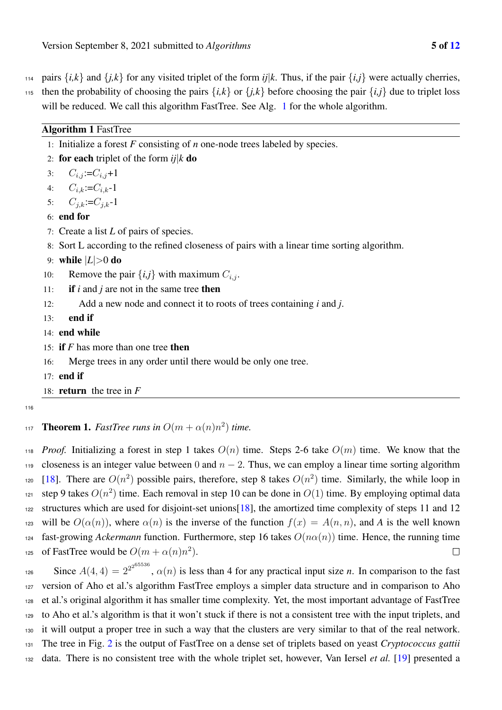114 pairs  $\{i,k\}$  and  $\{j,k\}$  for any visited triplet of the form  $ijk$ . Thus, if the pair  $\{i,j\}$  were actually cherries, 115 then the probability of choosing the pairs  $\{i,k\}$  or  $\{j,k\}$  before choosing the pair  $\{i,j\}$  due to triplet loss will be reduced. We call this algorithm FastTree. See Alg. [1](#page-4-0) for the whole algorithm.

# <span id="page-4-0"></span>Algorithm 1 FastTree

1: Initialize a forest *F* consisting of *n* one-node trees labeled by species.

- 2: for each triplet of the form  $i j \, k \, \text{do}$
- 3:  $C_{i,j} := C_{i,j} + 1$
- 4:  $C_{i,k}:=C_{i,k}-1$
- 5:  $C_{i,k}:=C_{i,k}-1$

6: end for

- 7: Create a list *L* of pairs of species.
- 8: Sort L according to the refined closeness of pairs with a linear time sorting algorithm.
- 9: while |*L*|>0 do
- 10: Remove the pair  $\{i,j\}$  with maximum  $C_{i,j}$ .
- 11: if *i* and *j* are not in the same tree then
- 12: Add a new node and connect it to roots of trees containing *i* and *j*.
- $13:$  end if
- 14: end while
- 15: if *F* has more than one tree then
- 16: Merge trees in any order until there would be only one tree.
- 17: end if
- 18: return the tree in *F*

116

# **Theorem 1.** *FastTree runs in*  $O(m + \alpha(n)n^2)$  *time.*

118 *Proof.* Initializing a forest in step 1 takes  $O(n)$  time. Steps 2-6 take  $O(m)$  time. We know that the 119 closeness is an integer value between 0 and  $n - 2$ . Thus, we can employ a linear time sorting algorithm <sup>120</sup> [\[18\]](#page-11-3). There are  $O(n^2)$  possible pairs, therefore, step 8 takes  $O(n^2)$  time. Similarly, the while loop in step 9 takes  $O(n^2)$  time. Each removal in step 10 can be done in  $O(1)$  time. By employing optimal data 122 structures which are used for disjoint-set unions [\[18\]](#page-11-3), the amortized time complexity of steps 11 and 12 123 will be  $O(\alpha(n))$ , where  $\alpha(n)$  is the inverse of the function  $f(x) = A(n, n)$ , and A is the well known 124 fast-growing *Ackermann* function. Furthermore, step 16 takes  $O(n\alpha(n))$  time. Hence, the running time <sup>125</sup> of FastTree would be  $O(m + \alpha(n)n^2)$ .  $\Box$ 

Since  $A(4,4) = 2^{2^{2^{65536}}}$ ,  $\alpha(n)$  is less than 4 for any practical input size *n*. In comparison to the fast version of Aho et al.'s algorithm FastTree employs a simpler data structure and in comparison to Aho et al.'s original algorithm it has smaller time complexity. Yet, the most important advantage of FastTree to Aho et al.'s algorithm is that it won't stuck if there is not a consistent tree with the input triplets, and it will output a proper tree in such a way that the clusters are very similar to that of the real network. The tree in Fig. [2](#page-5-0) is the output of FastTree on a dense set of triplets based on yeast *Cryptococcus gattii* data. There is no consistent tree with the whole triplet set, however, Van Iersel *et al.* [\[19\]](#page-11-4) presented a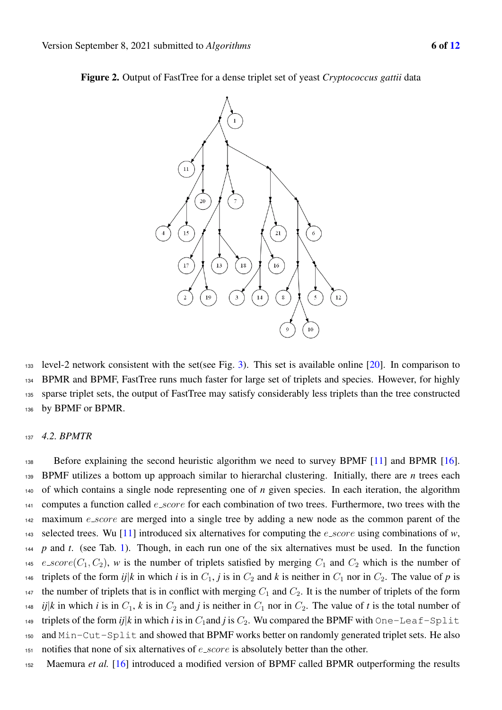<span id="page-5-0"></span>



 level-2 network consistent with the set(see Fig. [3\)](#page-6-0). This set is available online [\[20\]](#page-11-5). In comparison to BPMR and BPMF, FastTree runs much faster for large set of triplets and species. However, for highly sparse triplet sets, the output of FastTree may satisfy considerably less triplets than the tree constructed 136 by BPMF or BPMR.

#### <sup>137</sup> *4.2. BPMTR*

138 Before explaining the second heuristic algorithm we need to survey BPMF [\[11\]](#page-10-10) and BPMR [\[16\]](#page-11-1). <sup>139</sup> BPMF utilizes a bottom up approach similar to hierarchal clustering. Initially, there are *n* trees each <sup>140</sup> of which contains a single node representing one of *n* given species. In each iteration, the algorithm 141 computes a function called  $e\_score$  for each combination of two trees. Furthermore, two trees with the  $142$  maximum  $e\_score$  are merged into a single tree by adding a new node as the common parent of the 143 selected trees. Wu [\[11\]](#page-10-10) introduced six alternatives for computing the  $e\_score$  using combinations of  $w$ , <sup>144</sup> *p* and *t*. (see Tab. [1\)](#page-6-1). Though, in each run one of the six alternatives must be used. In the function  $145$  e\_score( $C_1, C_2$ ), w is the number of triplets satisfied by merging  $C_1$  and  $C_2$  which is the number of 146 triplets of the form  $ij|k$  in which *i* is in  $C_1$ , *j* is in  $C_2$  and *k* is neither in  $C_1$  nor in  $C_2$ . The value of *p* is 147 the number of triplets that is in conflict with merging  $C_1$  and  $C_2$ . It is the number of triplets of the form  $148$  *ij*| $k$  in which *i* is in  $C_1$ ,  $k$  is in  $C_2$  and  $j$  is neither in  $C_1$  nor in  $C_2$ . The value of  $t$  is the total number of 149 triplets of the form *ij*| $k$  in which *i* is in  $C_1$  and *j* is  $C_2$ . Wu compared the BPMF with One-Leaf-Split <sup>150</sup> and Min-Cut-Split and showed that BPMF works better on randomly generated triplet sets. He also 151 notifies that none of six alternatives of  $e\_score$  is absolutely better than the other.

<sup>152</sup> Maemura *et al.* [\[16\]](#page-11-1) introduced a modified version of BPMF called BPMR outperforming the results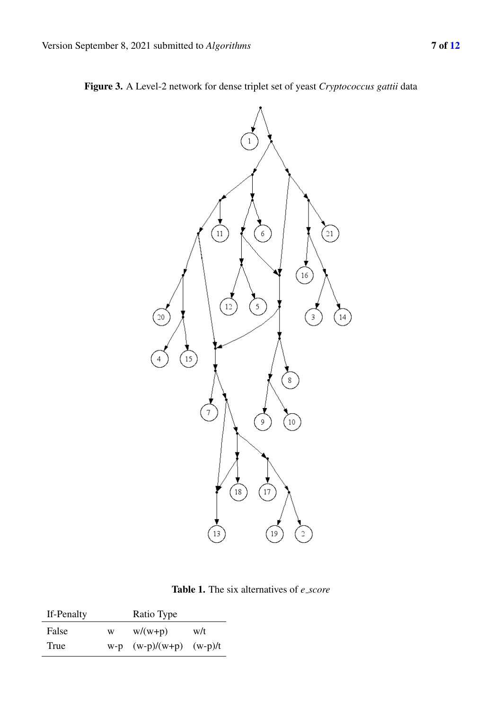

<span id="page-6-0"></span>Figure 3. A Level-2 network for dense triplet set of yeast *Cryptococcus gattii* data

<span id="page-6-1"></span>

| If-Penalty |   | Ratio Type                    |     |
|------------|---|-------------------------------|-----|
| False      | W | $w/(w+p)$                     | w/t |
| True       |   | $w-p$ $(w-p)/(w+p)$ $(w-p)/t$ |     |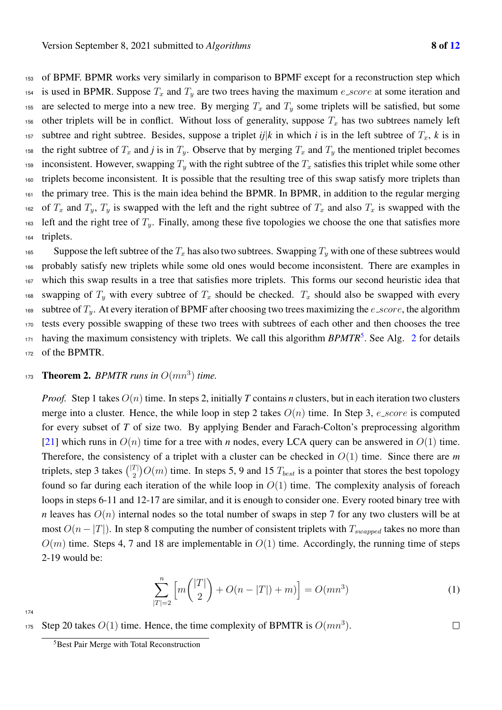$\Box$ 

<sup>153</sup> of BPMF. BPMR works very similarly in comparison to BPMF except for a reconstruction step which 154 is used in BPMR. Suppose  $T_x$  and  $T_y$  are two trees having the maximum e\_score at some iteration and 155 are selected to merge into a new tree. By merging  $T_x$  and  $T_y$  some triplets will be satisfied, but some 156 other triplets will be in conflict. Without loss of generality, suppose  $T_x$  has two subtrees namely left 157 subtree and right subtree. Besides, suppose a triplet  $ij|k$  in which *i* is in the left subtree of  $T_x$ , *k* is in 158 the right subtree of  $T_x$  and *j* is in  $T_y$ . Observe that by merging  $T_x$  and  $T_y$  the mentioned triplet becomes 159 inconsistent. However, swapping  $T_y$  with the right subtree of the  $T_x$  satisfies this triplet while some other <sup>160</sup> triplets become inconsistent. It is possible that the resulting tree of this swap satisfy more triplets than <sup>161</sup> the primary tree. This is the main idea behind the BPMR. In BPMR, in addition to the regular merging 162 of  $T_x$  and  $T_y$ ,  $T_y$  is swapped with the left and the right subtree of  $T_x$  and also  $T_x$  is swapped with the 163 left and the right tree of  $T_y$ . Finally, among these five topologies we choose the one that satisfies more <sup>164</sup> triplets.

165 Suppose the left subtree of the  $T_x$  has also two subtrees. Swapping  $T_y$  with one of these subtrees would probably satisfy new triplets while some old ones would become inconsistent. There are examples in which this swap results in a tree that satisfies more triplets. This forms our second heuristic idea that <sup>168</sup> swapping of  $T_y$  with every subtree of  $T_x$  should be checked.  $T_x$  should also be swapped with every 169 subtree of  $T_v$ . At every iteration of BPMF after choosing two trees maximizing the *e\_score*, the algorithm tests every possible swapping of these two trees with subtrees of each other and then chooses the tree having the maximum consistency with triplets. We call this algorithm *BPMTR*<sup>[5](#page-7-0)</sup>. See Alg. [2](#page-8-0) for details of the BPMTR.

## **173 Theorem 2.** *BPMTR runs in*  $O(mn^3)$  *time.*

*Proof.* Step 1 takes  $O(n)$  time. In steps 2, initially T contains *n* clusters, but in each iteration two clusters merge into a cluster. Hence, the while loop in step 2 takes  $O(n)$  time. In Step 3, e\_score is computed for every subset of *T* of size two. By applying Bender and Farach-Colton's preprocessing algorithm [\[21\]](#page-11-6) which runs in  $O(n)$  time for a tree with *n* nodes, every LCA query can be answered in  $O(1)$  time. Therefore, the consistency of a triplet with a cluster can be checked in O(1) time. Since there are *m* triplets, step 3 takes  $\binom{|T|}{2}$  $\binom{T}{2}O(m)$  time. In steps 5, 9 and 15  $T_{best}$  is a pointer that stores the best topology found so far during each iteration of the while loop in  $O(1)$  time. The complexity analysis of foreach loops in steps 6-11 and 12-17 are similar, and it is enough to consider one. Every rooted binary tree with *n* leaves has  $O(n)$  internal nodes so the total number of swaps in step 7 for any two clusters will be at most  $O(n - |T|)$ . In step 8 computing the number of consistent triplets with  $T_{swapped}$  takes no more than  $O(m)$  time. Steps 4, 7 and 18 are implementable in  $O(1)$  time. Accordingly, the running time of steps 2-19 would be:

$$
\sum_{|T|=2}^{n} \left[ m \binom{|T|}{2} + O(n - |T|) + m) \right] = O(mn^3)
$$
 (1)

174

<sup>175</sup> Step 20 takes  $O(1)$  time. Hence, the time complexity of BPMTR is  $O(mn^3)$ .

<span id="page-7-0"></span><sup>5</sup>Best Pair Merge with Total Reconstruction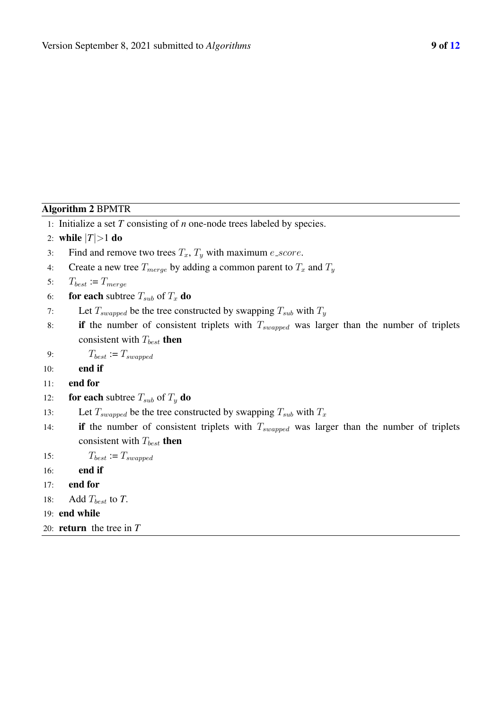## <span id="page-8-0"></span>Algorithm 2 BPMTR

- 1: Initialize a set *T* consisting of *n* one-node trees labeled by species.
- 2: while  $|T|>1$  do
- 3: Find and remove two trees  $T_x$ ,  $T_y$  with maximum *e\_score*.
- 4: Create a new tree  $T_{merge}$  by adding a common parent to  $T_x$  and  $T_y$
- 5:  $T_{best} := T_{merge}$
- 6: for each subtree  $T_{sub}$  of  $T_x$  do
- 7: Let  $T_{swapped}$  be the tree constructed by swapping  $T_{sub}$  with  $T_{v}$
- 8: if the number of consistent triplets with  $T_{swapped}$  was larger than the number of triplets consistent with  $T_{best}$  then

9:  $T_{best} := T_{swapped}$ 

- 10: end if
- 11: end for
- 12: for each subtree  $T_{sub}$  of  $T_y$  do
- 13: Let  $T_{swapped}$  be the tree constructed by swapping  $T_{sub}$  with  $T_x$
- 14: **if** the number of consistent triplets with  $T_{swapped}$  was larger than the number of triplets consistent with  $T_{best}$  then
- 15:  $T_{best} := T_{swapped}$
- 16: end if
- 17: end for
- 18: Add  $T_{best}$  to  $T$ .
- 19: end while
- 20: return the tree in *T*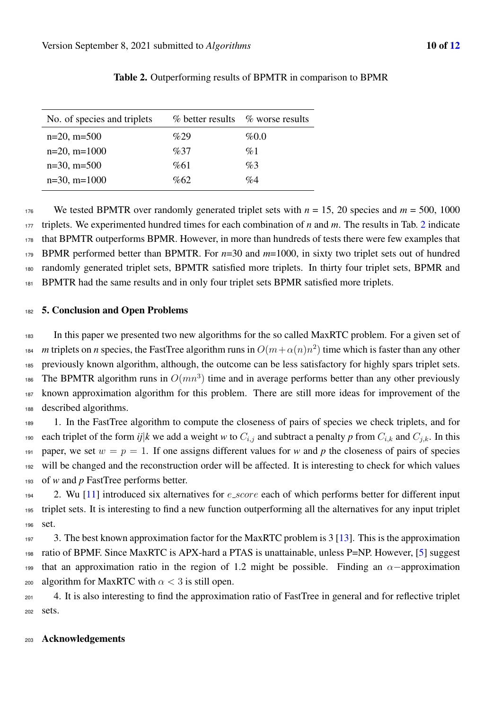<span id="page-9-0"></span>

| No. of species and triplets | % better results | $\%$ worse results |
|-----------------------------|------------------|--------------------|
| $n=20$ , $m=500$            | $\%29$           | %0.0               |
| $n=20$ , $m=1000$           | %37              | $\%1$              |
| $n=30$ , $m=500$            | %61              | $\%3$              |
| $n=30$ , $m=1000$           | %62              | $\%4$              |

Table 2. Outperforming results of BPMTR in comparison to BPMR

<sup>176</sup> We tested BPMTR over randomly generated triplet sets with  $n = 15$ , 20 species and  $m = 500$ , 1000 triplets. We experimented hundred times for each combination of *n* and *m*. The results in Tab. [2](#page-9-0) indicate that BPMTR outperforms BPMR. However, in more than hundreds of tests there were few examples that BPMR performed better than BPMTR. For *n*=30 and *m*=1000, in sixty two triplet sets out of hundred randomly generated triplet sets, BPMTR satisfied more triplets. In thirty four triplet sets, BPMR and BPMTR had the same results and in only four triplet sets BPMR satisfied more triplets.

## <sup>182</sup> 5. Conclusion and Open Problems

 In this paper we presented two new algorithms for the so called MaxRTC problem. For a given set of <sup>184</sup> *m* triplets on *n* species, the FastTree algorithm runs in  $O(m + \alpha(n)n^2)$  time which is faster than any other previously known algorithm, although, the outcome can be less satisfactory for highly spars triplet sets. 186 The BPMTR algorithm runs in  $O(mn^3)$  time and in average performs better than any other previously known approximation algorithm for this problem. There are still more ideas for improvement of the described algorithms.

<sup>189</sup> 1. In the FastTree algorithm to compute the closeness of pairs of species we check triplets, and for 190 each triplet of the form *ij*| $k$  we add a weight  $w$  to  $C_{i,j}$  and subtract a penalty  $p$  from  $C_{i,k}$  and  $C_{j,k}$ . In this 191 paper, we set  $w = p = 1$ . If one assigns different values for *w* and *p* the closeness of pairs of species <sup>192</sup> will be changed and the reconstruction order will be affected. It is interesting to check for which values <sup>193</sup> of *w* and *p* FastTree performs better.

194 2. Wu  $[11]$  introduced six alternatives for *e\_score* each of which performs better for different input <sup>195</sup> triplet sets. It is interesting to find a new function outperforming all the alternatives for any input triplet <sup>196</sup> set.

<sup>197</sup> 3. The best known approximation factor for the MaxRTC problem is 3 [\[13\]](#page-10-12). This is the approximation <sup>198</sup> ratio of BPMF. Since MaxRTC is APX-hard a PTAS is unattainable, unless P=NP. However, [\[5\]](#page-10-4) suggest 199 that an approximation ratio in the region of 1.2 might be possible. Finding an  $\alpha$ -approximation 200 algorithm for MaxRTC with  $\alpha$  < 3 is still open.

<sup>201</sup> 4. It is also interesting to find the approximation ratio of FastTree in general and for reflective triplet <sup>202</sup> sets.

## <sup>203</sup> Acknowledgements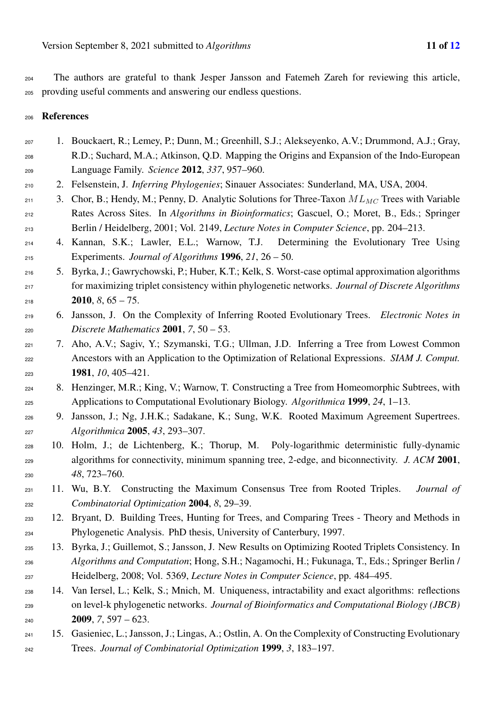The authors are grateful to thank Jesper Jansson and Fatemeh Zareh for reviewing this article, provding useful comments and answering our endless questions.

References

- <span id="page-10-0"></span> 1. Bouckaert, R.; Lemey, P.; Dunn, M.; Greenhill, S.J.; Alekseyenko, A.V.; Drummond, A.J.; Gray, R.D.; Suchard, M.A.; Atkinson, Q.D. Mapping the Origins and Expansion of the Indo-European Language Family. *Science* 2012, *337*, 957–960.
- <span id="page-10-1"></span>2. Felsenstein, J. *Inferring Phylogenies*; Sinauer Associates: Sunderland, MA, USA, 2004.
- <span id="page-10-2"></span>211 3. Chor, B.; Hendy, M.; Penny, D. Analytic Solutions for Three-Taxon  $ML_{MC}$  Trees with Variable Rates Across Sites. In *Algorithms in Bioinformatics*; Gascuel, O.; Moret, B., Eds.; Springer Berlin / Heidelberg, 2001; Vol. 2149, *Lecture Notes in Computer Science*, pp. 204–213.
- <span id="page-10-3"></span> 4. Kannan, S.K.; Lawler, E.L.; Warnow, T.J. Determining the Evolutionary Tree Using Experiments. *Journal of Algorithms* 1996, *21*, 26 – 50.
- <span id="page-10-4"></span> 5. Byrka, J.; Gawrychowski, P.; Huber, K.T.; Kelk, S. Worst-case optimal approximation algorithms for maximizing triplet consistency within phylogenetic networks. *Journal of Discrete Algorithms*  $2010, 8, 65 - 75.$
- <span id="page-10-5"></span> 6. Jansson, J. On the Complexity of Inferring Rooted Evolutionary Trees. *Electronic Notes in Discrete Mathematics* 2001, *7*, 50 – 53.
- <span id="page-10-6"></span> 7. Aho, A.V.; Sagiv, Y.; Szymanski, T.G.; Ullman, J.D. Inferring a Tree from Lowest Common Ancestors with an Application to the Optimization of Relational Expressions. *SIAM J. Comput.* 1981, *10*, 405–421.
- <span id="page-10-7"></span> 8. Henzinger, M.R.; King, V.; Warnow, T. Constructing a Tree from Homeomorphic Subtrees, with Applications to Computational Evolutionary Biology. *Algorithmica* 1999, *24*, 1–13.
- <span id="page-10-8"></span> 9. Jansson, J.; Ng, J.H.K.; Sadakane, K.; Sung, W.K. Rooted Maximum Agreement Supertrees. *Algorithmica* 2005, *43*, 293–307.
- <span id="page-10-9"></span> 10. Holm, J.; de Lichtenberg, K.; Thorup, M. Poly-logarithmic deterministic fully-dynamic algorithms for connectivity, minimum spanning tree, 2-edge, and biconnectivity. *J. ACM* 2001, *48*, 723–760.
- <span id="page-10-10"></span> 11. Wu, B.Y. Constructing the Maximum Consensus Tree from Rooted Triples. *Journal of Combinatorial Optimization* 2004, *8*, 29–39.
- <span id="page-10-11"></span> 12. Bryant, D. Building Trees, Hunting for Trees, and Comparing Trees - Theory and Methods in Phylogenetic Analysis. PhD thesis, University of Canterbury, 1997.
- <span id="page-10-12"></span> 13. Byrka, J.; Guillemot, S.; Jansson, J. New Results on Optimizing Rooted Triplets Consistency. In *Algorithms and Computation*; Hong, S.H.; Nagamochi, H.; Fukunaga, T., Eds.; Springer Berlin / Heidelberg, 2008; Vol. 5369, *Lecture Notes in Computer Science*, pp. 484–495.
- <span id="page-10-13"></span> 14. Van Iersel, L.; Kelk, S.; Mnich, M. Uniqueness, intractability and exact algorithms: reflections on level-k phylogenetic networks. *Journal of Bioinformatics and Computational Biology (JBCB)*  $2009, 7, 597 - 623.$
- <span id="page-10-14"></span> 15. Gasieniec, L.; Jansson, J.; Lingas, A.; Ostlin, A. On the Complexity of Constructing Evolutionary Trees. *Journal of Combinatorial Optimization* 1999, *3*, 183–197.